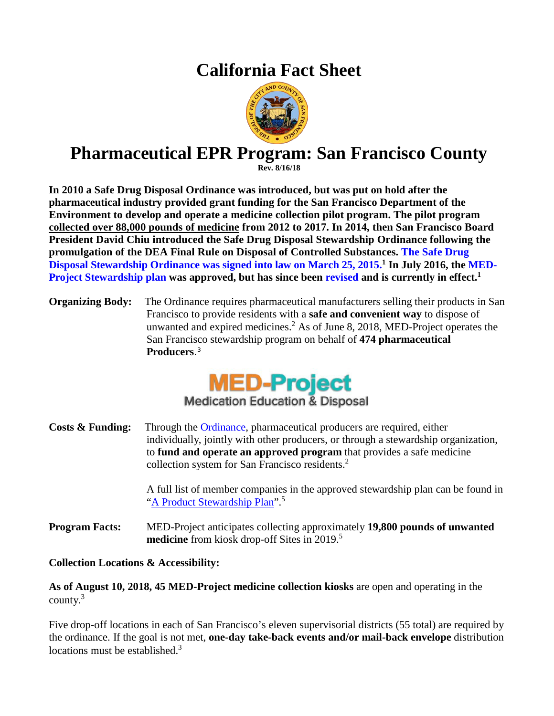## **California Fact Sheet**



## **Pharmaceutical EPR Program: San Francisco County**

**Rev. 8/16/18**

**In 2010 a Safe Drug Disposal Ordinance was introduced, but was put on hold after the pharmaceutical industry provided grant funding for the San Francisco Department of the Environment to develop and operate a medicine collection pilot program. The pilot program collected over 88,000 pounds of medicine from 2012 to 2017. In 2014, then San Francisco Board President David Chiu introduced the Safe Drug Disposal Stewardship Ordinance following the promulgation of the DEA Final Rule on Disposal of Controlled Substances. The Safe [Drug](https://sfgov.legistar.com/View.ashx?M=F&ID=3683502&GUID=BDD1E6B8-1779-4277-8913-592F009AC299)  Disposal [Stewardship Ordinance](https://sfgov.legistar.com/View.ashx?M=F&ID=3683502&GUID=BDD1E6B8-1779-4277-8913-592F009AC299) was signed into law on March 25, 2015.1 In July 2016, the [MED-](https://sfenvironment.org/sites/default/files/editor-uploads/toxics/pdf/sfe_th_sf_med-project_plan_7.14.pdf)[Project Stewardship](https://sfenvironment.org/sites/default/files/editor-uploads/toxics/pdf/sfe_th_sf_med-project_plan_7.14.pdf) plan was approved, but has since been [revised](https://sfenvironment.org/sites/default/files/fliers/files/sfe_th_san_francisco_med-project_revised_plan_05.31.2018.pdf) and is currently in effect. 1**

**Organizing Body:** The Ordinance requires pharmaceutical manufacturers selling their products in San Francisco to provide residents with a **safe and convenient way** to dispose of unwanted and expired medicines.<sup>2</sup> As of June 8, 2018, MED-Project operates the San Francisco stewardship program on behalf of **474 pharmaceutical Producers**.3



**Medication Education & Disposal** 

**Costs & Funding:** Through the [Ordinance,](https://calpsc.org/mobius/cpsc-content/uploads/2015/04/Safe_Drug_Disposal_OrdinanceText_FinalApproved_3_26_2015.pdf) pharmaceutical producers are required, either individually, jointly with other producers, or through a stewardship organization, to **fund and operate an approved program** that provides a safe medicine collection system for San Francisco residents.<sup>2</sup>

> A full list of member companies in the approved stewardship plan can be found in ["A Product Stewardship](https://sfenvironment.org/sites/default/files/fliers/files/sfe_th_san_francisco_med-project_revised_plan_05.31.2018.pdf) Plan".<sup>5</sup>

**Program Facts:** MED-Project anticipates collecting approximately **19,800 pounds of unwanted medicine** from kiosk drop-off Sites in 2019.<sup>5</sup>

**Collection Locations & Accessibility:**

**As of August 10, 2018, 45 MED-Project medicine collection kiosks** are open and operating in the county. 3

Five drop-off locations in each of San Francisco's eleven supervisorial districts (55 total) are required by the ordinance. If the goal is not met, **one-day take-back events and/or mail-back envelope** distribution locations must be established. $3$